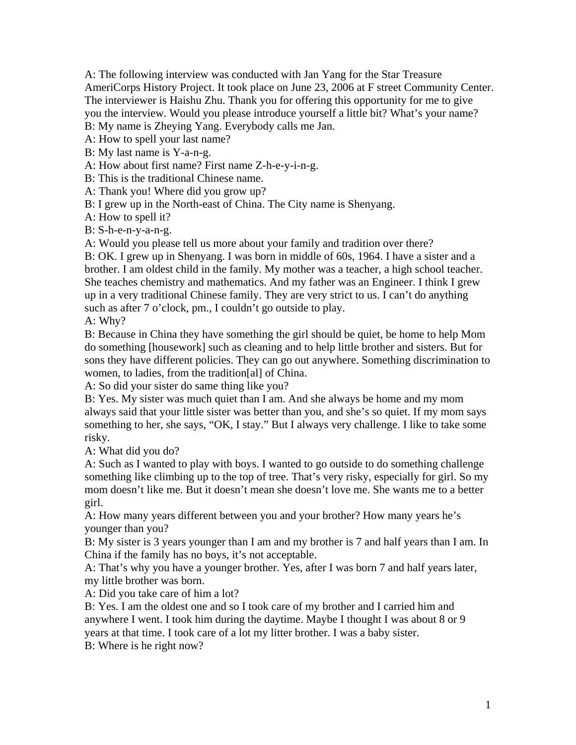A: The following interview was conducted with Jan Yang for the Star Treasure AmeriCorps History Project. It took place on June 23, 2006 at F street Community Center. The interviewer is Haishu Zhu. Thank you for offering this opportunity for me to give you the interview. Would you please introduce yourself a little bit? What's your name? B: My name is Zheying Yang. Everybody calls me Jan.

A: How to spell your last name?

B: My last name is Y-a-n-g.

A: How about first name? First name Z-h-e-y-i-n-g.

B: This is the traditional Chinese name.

A: Thank you! Where did you grow up?

B: I grew up in the North-east of China. The City name is Shenyang.

A: How to spell it?

B: S-h-e-n-y-a-n-g.

A: Would you please tell us more about your family and tradition over there?

B: OK. I grew up in Shenyang. I was born in middle of 60s, 1964. I have a sister and a brother. I am oldest child in the family. My mother was a teacher, a high school teacher. She teaches chemistry and mathematics. And my father was an Engineer. I think I grew up in a very traditional Chinese family. They are very strict to us. I can't do anything such as after 7 o'clock, pm., I couldn't go outside to play.

A: Why?

B: Because in China they have something the girl should be quiet, be home to help Mom do something [housework] such as cleaning and to help little brother and sisters. But for sons they have different policies. They can go out anywhere. Something discrimination to women, to ladies, from the tradition[al] of China.

A: So did your sister do same thing like you?

B: Yes. My sister was much quiet than I am. And she always be home and my mom always said that your little sister was better than you, and she's so quiet. If my mom says something to her, she says, "OK, I stay." But I always very challenge. I like to take some risky.

A: What did you do?

A: Such as I wanted to play with boys. I wanted to go outside to do something challenge something like climbing up to the top of tree. That's very risky, especially for girl. So my mom doesn't like me. But it doesn't mean she doesn't love me. She wants me to a better girl.

A: How many years different between you and your brother? How many years he's younger than you?

B: My sister is 3 years younger than I am and my brother is 7 and half years than I am. In China if the family has no boys, it's not acceptable.

A: That's why you have a younger brother. Yes, after I was born 7 and half years later, my little brother was born.

A: Did you take care of him a lot?

B: Yes. I am the oldest one and so I took care of my brother and I carried him and anywhere I went. I took him during the daytime. Maybe I thought I was about 8 or 9 years at that time. I took care of a lot my litter brother. I was a baby sister.

B: Where is he right now?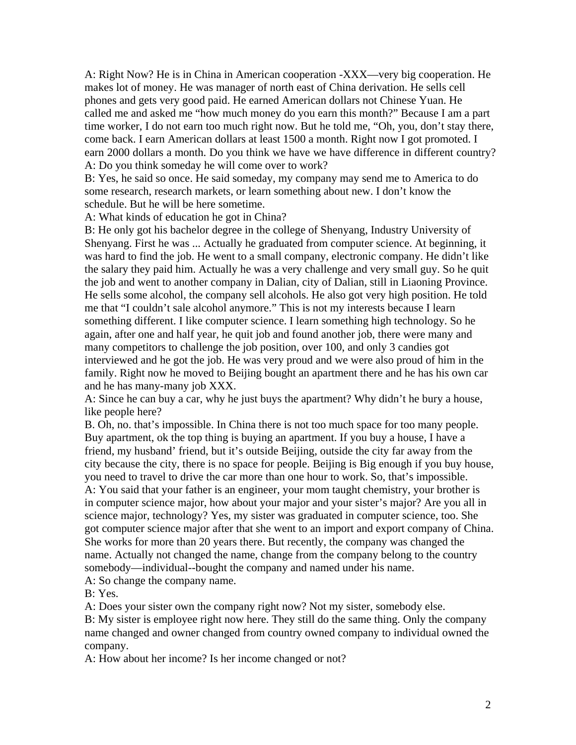A: Right Now? He is in China in American cooperation -XXX—very big cooperation. He makes lot of money. He was manager of north east of China derivation. He sells cell phones and gets very good paid. He earned American dollars not Chinese Yuan. He called me and asked me "how much money do you earn this month?" Because I am a part time worker, I do not earn too much right now. But he told me, "Oh, you, don't stay there, come back. I earn American dollars at least 1500 a month. Right now I got promoted. I earn 2000 dollars a month. Do you think we have we have difference in different country? A: Do you think someday he will come over to work?

B: Yes, he said so once. He said someday, my company may send me to America to do some research, research markets, or learn something about new. I don't know the schedule. But he will be here sometime.

A: What kinds of education he got in China?

B: He only got his bachelor degree in the college of Shenyang, Industry University of Shenyang. First he was ... Actually he graduated from computer science. At beginning, it was hard to find the job. He went to a small company, electronic company. He didn't like the salary they paid him. Actually he was a very challenge and very small guy. So he quit the job and went to another company in Dalian, city of Dalian, still in Liaoning Province. He sells some alcohol, the company sell alcohols. He also got very high position. He told me that "I couldn't sale alcohol anymore." This is not my interests because I learn something different. I like computer science. I learn something high technology. So he again, after one and half year, he quit job and found another job, there were many and many competitors to challenge the job position, over 100, and only 3 candies got interviewed and he got the job. He was very proud and we were also proud of him in the family. Right now he moved to Beijing bought an apartment there and he has his own car and he has many-many job XXX.

A: Since he can buy a car, why he just buys the apartment? Why didn't he bury a house, like people here?

B. Oh, no. that's impossible. In China there is not too much space for too many people. Buy apartment, ok the top thing is buying an apartment. If you buy a house, I have a friend, my husband' friend, but it's outside Beijing, outside the city far away from the city because the city, there is no space for people. Beijing is Big enough if you buy house, you need to travel to drive the car more than one hour to work. So, that's impossible. A: You said that your father is an engineer, your mom taught chemistry, your brother is in computer science major, how about your major and your sister's major? Are you all in science major, technology? Yes, my sister was graduated in computer science, too. She got computer science major after that she went to an import and export company of China. She works for more than 20 years there. But recently, the company was changed the name. Actually not changed the name, change from the company belong to the country somebody—individual--bought the company and named under his name.

A: So change the company name.

B: Yes.

A: Does your sister own the company right now? Not my sister, somebody else.

B: My sister is employee right now here. They still do the same thing. Only the company name changed and owner changed from country owned company to individual owned the company.

A: How about her income? Is her income changed or not?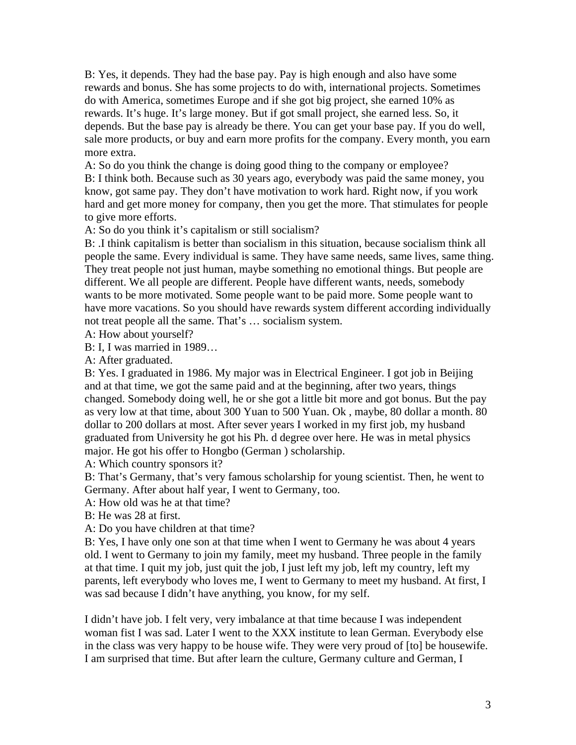B: Yes, it depends. They had the base pay. Pay is high enough and also have some rewards and bonus. She has some projects to do with, international projects. Sometimes do with America, sometimes Europe and if she got big project, she earned 10% as rewards. It's huge. It's large money. But if got small project, she earned less. So, it depends. But the base pay is already be there. You can get your base pay. If you do well, sale more products, or buy and earn more profits for the company. Every month, you earn more extra.

A: So do you think the change is doing good thing to the company or employee? B: I think both. Because such as 30 years ago, everybody was paid the same money, you know, got same pay. They don't have motivation to work hard. Right now, if you work hard and get more money for company, then you get the more. That stimulates for people to give more efforts.

A: So do you think it's capitalism or still socialism?

B: .I think capitalism is better than socialism in this situation, because socialism think all people the same. Every individual is same. They have same needs, same lives, same thing. They treat people not just human, maybe something no emotional things. But people are different. We all people are different. People have different wants, needs, somebody wants to be more motivated. Some people want to be paid more. Some people want to have more vacations. So you should have rewards system different according individually not treat people all the same. That's … socialism system.

A: How about yourself?

B: I, I was married in 1989…

A: After graduated.

B: Yes. I graduated in 1986. My major was in Electrical Engineer. I got job in Beijing and at that time, we got the same paid and at the beginning, after two years, things changed. Somebody doing well, he or she got a little bit more and got bonus. But the pay as very low at that time, about 300 Yuan to 500 Yuan. Ok , maybe, 80 dollar a month. 80 dollar to 200 dollars at most. After sever years I worked in my first job, my husband graduated from University he got his Ph. d degree over here. He was in metal physics major. He got his offer to Hongbo (German ) scholarship.

A: Which country sponsors it?

B: That's Germany, that's very famous scholarship for young scientist. Then, he went to Germany. After about half year, I went to Germany, too.

A: How old was he at that time?

B: He was 28 at first.

A: Do you have children at that time?

B: Yes, I have only one son at that time when I went to Germany he was about 4 years old. I went to Germany to join my family, meet my husband. Three people in the family at that time. I quit my job, just quit the job, I just left my job, left my country, left my parents, left everybody who loves me, I went to Germany to meet my husband. At first, I was sad because I didn't have anything, you know, for my self.

I didn't have job. I felt very, very imbalance at that time because I was independent woman fist I was sad. Later I went to the XXX institute to lean German. Everybody else in the class was very happy to be house wife. They were very proud of [to] be housewife. I am surprised that time. But after learn the culture, Germany culture and German, I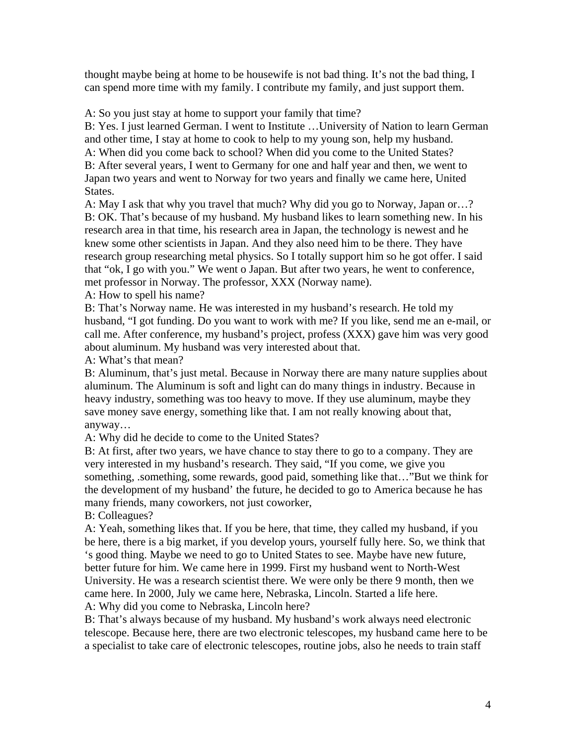thought maybe being at home to be housewife is not bad thing. It's not the bad thing, I can spend more time with my family. I contribute my family, and just support them.

A: So you just stay at home to support your family that time?

B: Yes. I just learned German. I went to Institute …University of Nation to learn German and other time, I stay at home to cook to help to my young son, help my husband. A: When did you come back to school? When did you come to the United States? B: After several years, I went to Germany for one and half year and then, we went to Japan two years and went to Norway for two years and finally we came here, United States.

A: May I ask that why you travel that much? Why did you go to Norway, Japan or…? B: OK. That's because of my husband. My husband likes to learn something new. In his research area in that time, his research area in Japan, the technology is newest and he knew some other scientists in Japan. And they also need him to be there. They have research group researching metal physics. So I totally support him so he got offer. I said that "ok, I go with you." We went o Japan. But after two years, he went to conference, met professor in Norway. The professor, XXX (Norway name).

A: How to spell his name?

B: That's Norway name. He was interested in my husband's research. He told my husband, "I got funding. Do you want to work with me? If you like, send me an e-mail, or call me. After conference, my husband's project, profess (XXX) gave him was very good about aluminum. My husband was very interested about that.

A: What's that mean?

B: Aluminum, that's just metal. Because in Norway there are many nature supplies about aluminum. The Aluminum is soft and light can do many things in industry. Because in heavy industry, something was too heavy to move. If they use aluminum, maybe they save money save energy, something like that. I am not really knowing about that, anyway…

A: Why did he decide to come to the United States?

B: At first, after two years, we have chance to stay there to go to a company. They are very interested in my husband's research. They said, "If you come, we give you something, .something, some rewards, good paid, something like that…"But we think for the development of my husband' the future, he decided to go to America because he has many friends, many coworkers, not just coworker,

B: Colleagues?

A: Yeah, something likes that. If you be here, that time, they called my husband, if you be here, there is a big market, if you develop yours, yourself fully here. So, we think that 's good thing. Maybe we need to go to United States to see. Maybe have new future, better future for him. We came here in 1999. First my husband went to North-West University. He was a research scientist there. We were only be there 9 month, then we came here. In 2000, July we came here, Nebraska, Lincoln. Started a life here. A: Why did you come to Nebraska, Lincoln here?

B: That's always because of my husband. My husband's work always need electronic telescope. Because here, there are two electronic telescopes, my husband came here to be a specialist to take care of electronic telescopes, routine jobs, also he needs to train staff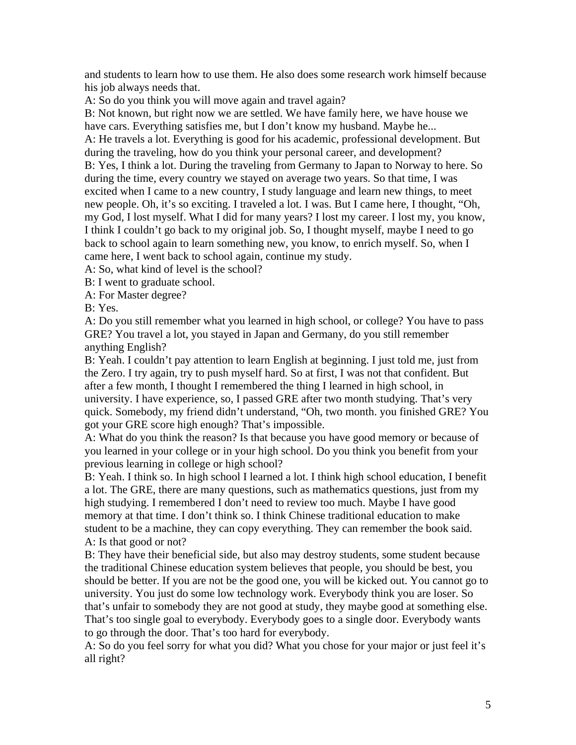and students to learn how to use them. He also does some research work himself because his job always needs that.

A: So do you think you will move again and travel again?

B: Not known, but right now we are settled. We have family here, we have house we have cars. Everything satisfies me, but I don't know my husband. Maybe he... A: He travels a lot. Everything is good for his academic, professional development. But during the traveling, how do you think your personal career, and development? B: Yes, I think a lot. During the traveling from Germany to Japan to Norway to here. So during the time, every country we stayed on average two years. So that time, I was excited when I came to a new country, I study language and learn new things, to meet new people. Oh, it's so exciting. I traveled a lot. I was. But I came here, I thought, "Oh, my God, I lost myself. What I did for many years? I lost my career. I lost my, you know, I think I couldn't go back to my original job. So, I thought myself, maybe I need to go back to school again to learn something new, you know, to enrich myself. So, when I came here, I went back to school again, continue my study.

A: So, what kind of level is the school?

B: I went to graduate school.

A: For Master degree?

B: Yes.

A: Do you still remember what you learned in high school, or college? You have to pass GRE? You travel a lot, you stayed in Japan and Germany, do you still remember anything English?

B: Yeah. I couldn't pay attention to learn English at beginning. I just told me, just from the Zero. I try again, try to push myself hard. So at first, I was not that confident. But after a few month, I thought I remembered the thing I learned in high school, in university. I have experience, so, I passed GRE after two month studying. That's very quick. Somebody, my friend didn't understand, "Oh, two month. you finished GRE? You got your GRE score high enough? That's impossible.

A: What do you think the reason? Is that because you have good memory or because of you learned in your college or in your high school. Do you think you benefit from your previous learning in college or high school?

B: Yeah. I think so. In high school I learned a lot. I think high school education, I benefit a lot. The GRE, there are many questions, such as mathematics questions, just from my high studying. I remembered I don't need to review too much. Maybe I have good memory at that time. I don't think so. I think Chinese traditional education to make student to be a machine, they can copy everything. They can remember the book said. A: Is that good or not?

B: They have their beneficial side, but also may destroy students, some student because the traditional Chinese education system believes that people, you should be best, you should be better. If you are not be the good one, you will be kicked out. You cannot go to university. You just do some low technology work. Everybody think you are loser. So that's unfair to somebody they are not good at study, they maybe good at something else. That's too single goal to everybody. Everybody goes to a single door. Everybody wants to go through the door. That's too hard for everybody.

A: So do you feel sorry for what you did? What you chose for your major or just feel it's all right?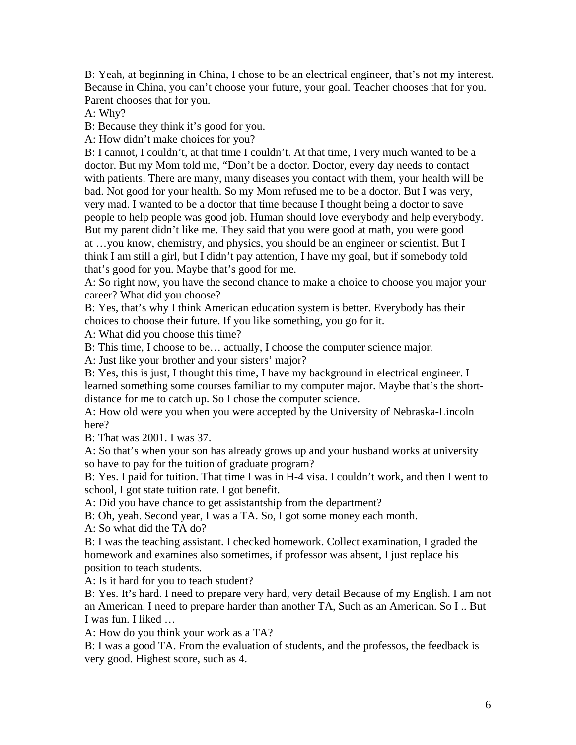B: Yeah, at beginning in China, I chose to be an electrical engineer, that's not my interest. Because in China, you can't choose your future, your goal. Teacher chooses that for you. Parent chooses that for you.

A: Why?

B: Because they think it's good for you.

A: How didn't make choices for you?

B: I cannot, I couldn't, at that time I couldn't. At that time, I very much wanted to be a doctor. But my Mom told me, "Don't be a doctor. Doctor, every day needs to contact with patients. There are many, many diseases you contact with them, your health will be bad. Not good for your health. So my Mom refused me to be a doctor. But I was very, very mad. I wanted to be a doctor that time because I thought being a doctor to save people to help people was good job. Human should love everybody and help everybody. But my parent didn't like me. They said that you were good at math, you were good at …you know, chemistry, and physics, you should be an engineer or scientist. But I think I am still a girl, but I didn't pay attention, I have my goal, but if somebody told that's good for you. Maybe that's good for me.

A: So right now, you have the second chance to make a choice to choose you major your career? What did you choose?

B: Yes, that's why I think American education system is better. Everybody has their choices to choose their future. If you like something, you go for it.

A: What did you choose this time?

B: This time, I choose to be… actually, I choose the computer science major.

A: Just like your brother and your sisters' major?

B: Yes, this is just, I thought this time, I have my background in electrical engineer. I learned something some courses familiar to my computer major. Maybe that's the shortdistance for me to catch up. So I chose the computer science.

A: How old were you when you were accepted by the University of Nebraska-Lincoln here?

B: That was 2001. I was 37.

A: So that's when your son has already grows up and your husband works at university so have to pay for the tuition of graduate program?

B: Yes. I paid for tuition. That time I was in H-4 visa. I couldn't work, and then I went to school, I got state tuition rate. I got benefit.

A: Did you have chance to get assistantship from the department?

B: Oh, yeah. Second year, I was a TA. So, I got some money each month.

A: So what did the TA do?

B: I was the teaching assistant. I checked homework. Collect examination, I graded the homework and examines also sometimes, if professor was absent, I just replace his position to teach students.

A: Is it hard for you to teach student?

B: Yes. It's hard. I need to prepare very hard, very detail Because of my English. I am not an American. I need to prepare harder than another TA, Such as an American. So I .. But I was fun. I liked …

A: How do you think your work as a TA?

B: I was a good TA. From the evaluation of students, and the professos, the feedback is very good. Highest score, such as 4.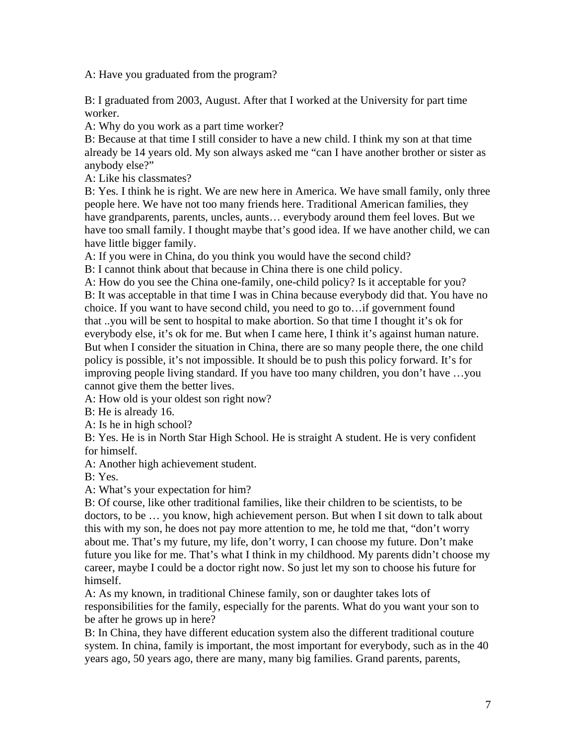A: Have you graduated from the program?

B: I graduated from 2003, August. After that I worked at the University for part time worker.

A: Why do you work as a part time worker?

B: Because at that time I still consider to have a new child. I think my son at that time already be 14 years old. My son always asked me "can I have another brother or sister as anybody else?"

A: Like his classmates?

B: Yes. I think he is right. We are new here in America. We have small family, only three people here. We have not too many friends here. Traditional American families, they have grandparents, parents, uncles, aunts... everybody around them feel loves. But we have too small family. I thought maybe that's good idea. If we have another child, we can have little bigger family.

A: If you were in China, do you think you would have the second child?

B: I cannot think about that because in China there is one child policy.

A: How do you see the China one-family, one-child policy? Is it acceptable for you? B: It was acceptable in that time I was in China because everybody did that. You have no choice. If you want to have second child, you need to go to…if government found that ..you will be sent to hospital to make abortion. So that time I thought it's ok for everybody else, it's ok for me. But when I came here, I think it's against human nature. But when I consider the situation in China, there are so many people there, the one child policy is possible, it's not impossible. It should be to push this policy forward. It's for improving people living standard. If you have too many children, you don't have …you cannot give them the better lives.

A: How old is your oldest son right now?

B: He is already 16.

A: Is he in high school?

B: Yes. He is in North Star High School. He is straight A student. He is very confident for himself.

A: Another high achievement student.

B: Yes.

A: What's your expectation for him?

B: Of course, like other traditional families, like their children to be scientists, to be doctors, to be … you know, high achievement person. But when I sit down to talk about this with my son, he does not pay more attention to me, he told me that, "don't worry about me. That's my future, my life, don't worry, I can choose my future. Don't make future you like for me. That's what I think in my childhood. My parents didn't choose my career, maybe I could be a doctor right now. So just let my son to choose his future for himself.

A: As my known, in traditional Chinese family, son or daughter takes lots of responsibilities for the family, especially for the parents. What do you want your son to be after he grows up in here?

B: In China, they have different education system also the different traditional couture system. In china, family is important, the most important for everybody, such as in the 40 years ago, 50 years ago, there are many, many big families. Grand parents, parents,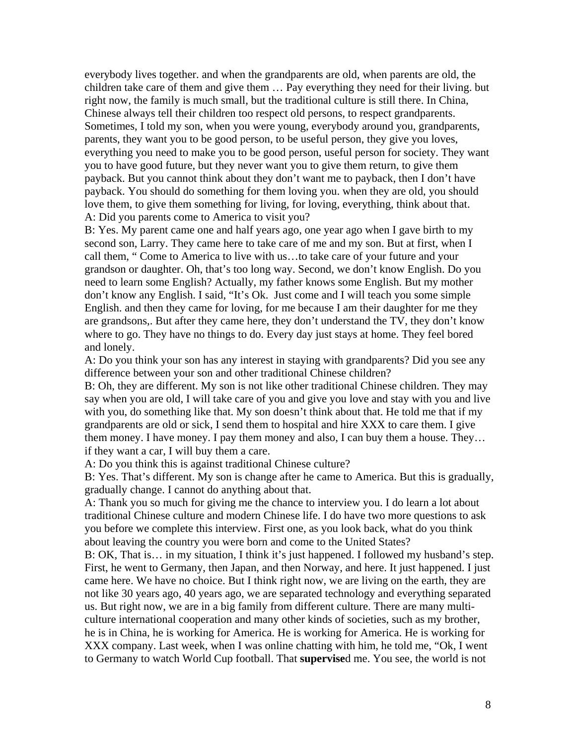everybody lives together. and when the grandparents are old, when parents are old, the children take care of them and give them … Pay everything they need for their living. but right now, the family is much small, but the traditional culture is still there. In China, Chinese always tell their children too respect old persons, to respect grandparents. Sometimes, I told my son, when you were young, everybody around you, grandparents, parents, they want you to be good person, to be useful person, they give you loves, everything you need to make you to be good person, useful person for society. They want you to have good future, but they never want you to give them return, to give them payback. But you cannot think about they don't want me to payback, then I don't have payback. You should do something for them loving you. when they are old, you should love them, to give them something for living, for loving, everything, think about that. A: Did you parents come to America to visit you?

B: Yes. My parent came one and half years ago, one year ago when I gave birth to my second son, Larry. They came here to take care of me and my son. But at first, when I call them, " Come to America to live with us…to take care of your future and your grandson or daughter. Oh, that's too long way. Second, we don't know English. Do you need to learn some English? Actually, my father knows some English. But my mother don't know any English. I said, "It's Ok. Just come and I will teach you some simple English. and then they came for loving, for me because I am their daughter for me they are grandsons,. But after they came here, they don't understand the TV, they don't know where to go. They have no things to do. Every day just stays at home. They feel bored and lonely.

A: Do you think your son has any interest in staying with grandparents? Did you see any difference between your son and other traditional Chinese children?

B: Oh, they are different. My son is not like other traditional Chinese children. They may say when you are old, I will take care of you and give you love and stay with you and live with you, do something like that. My son doesn't think about that. He told me that if my grandparents are old or sick, I send them to hospital and hire XXX to care them. I give them money. I have money. I pay them money and also, I can buy them a house. They… if they want a car, I will buy them a care.

A: Do you think this is against traditional Chinese culture?

B: Yes. That's different. My son is change after he came to America. But this is gradually, gradually change. I cannot do anything about that.

A: Thank you so much for giving me the chance to interview you. I do learn a lot about traditional Chinese culture and modern Chinese life. I do have two more questions to ask you before we complete this interview. First one, as you look back, what do you think about leaving the country you were born and come to the United States?

B: OK, That is… in my situation, I think it's just happened. I followed my husband's step. First, he went to Germany, then Japan, and then Norway, and here. It just happened. I just came here. We have no choice. But I think right now, we are living on the earth, they are not like 30 years ago, 40 years ago, we are separated technology and everything separated us. But right now, we are in a big family from different culture. There are many multiculture international cooperation and many other kinds of societies, such as my brother, he is in China, he is working for America. He is working for America. He is working for XXX company. Last week, when I was online chatting with him, he told me, "Ok, I went to Germany to watch World Cup football. That **supervise**d me. You see, the world is not